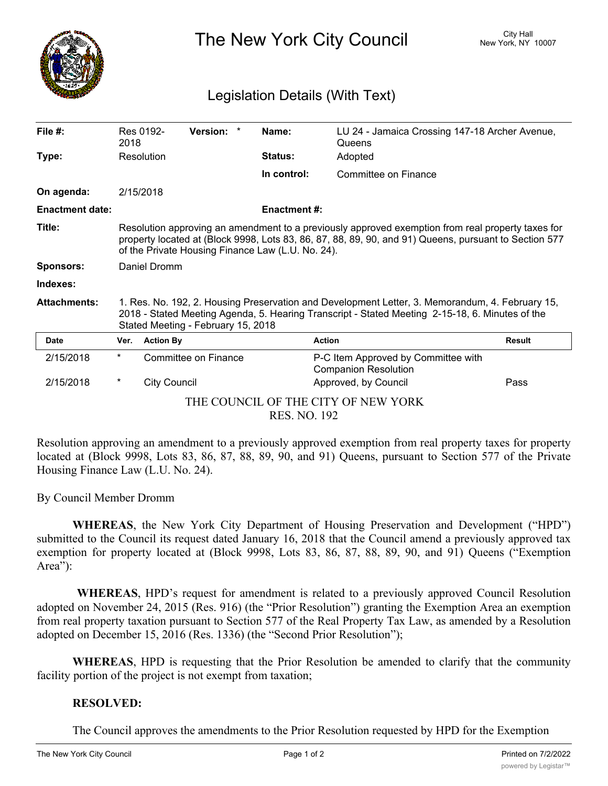

The New York City Council New York, NY 10007

## Legislation Details (With Text)

| File $#$ :                                                 | 2018                                                                                                                                                                                                                                                            | Res 0192-           | Version: *           |  | Name:               | LU 24 - Jamaica Crossing 147-18 Archer Avenue,<br>Queens           |               |
|------------------------------------------------------------|-----------------------------------------------------------------------------------------------------------------------------------------------------------------------------------------------------------------------------------------------------------------|---------------------|----------------------|--|---------------------|--------------------------------------------------------------------|---------------|
| Type:                                                      |                                                                                                                                                                                                                                                                 | Resolution          |                      |  | Status:             | Adopted                                                            |               |
|                                                            |                                                                                                                                                                                                                                                                 |                     |                      |  | In control:         | Committee on Finance                                               |               |
| On agenda:                                                 | 2/15/2018                                                                                                                                                                                                                                                       |                     |                      |  |                     |                                                                    |               |
| <b>Enactment date:</b>                                     |                                                                                                                                                                                                                                                                 |                     |                      |  | <b>Enactment #:</b> |                                                                    |               |
| Title:                                                     | Resolution approving an amendment to a previously approved exemption from real property taxes for<br>property located at (Block 9998, Lots 83, 86, 87, 88, 89, 90, and 91) Queens, pursuant to Section 577<br>of the Private Housing Finance Law (L.U. No. 24). |                     |                      |  |                     |                                                                    |               |
| <b>Sponsors:</b>                                           | Daniel Dromm                                                                                                                                                                                                                                                    |                     |                      |  |                     |                                                                    |               |
| Indexes:                                                   |                                                                                                                                                                                                                                                                 |                     |                      |  |                     |                                                                    |               |
| <b>Attachments:</b>                                        | 1. Res. No. 192, 2. Housing Preservation and Development Letter, 3. Memorandum, 4. February 15,<br>2018 - Stated Meeting Agenda, 5. Hearing Transcript - Stated Meeting 2-15-18, 6. Minutes of the<br>Stated Meeting - February 15, 2018                        |                     |                      |  |                     |                                                                    |               |
| <b>Date</b>                                                | Ver.                                                                                                                                                                                                                                                            | <b>Action By</b>    |                      |  |                     | <b>Action</b>                                                      | <b>Result</b> |
| 2/15/2018                                                  | $^\star$                                                                                                                                                                                                                                                        |                     | Committee on Finance |  |                     | P-C Item Approved by Committee with<br><b>Companion Resolution</b> |               |
| 2/15/2018                                                  | $^\star$                                                                                                                                                                                                                                                        | <b>City Council</b> |                      |  |                     | Approved, by Council                                               | Pass          |
| THE COUNCIL OF THE CITY OF NEW YORK<br><b>RES. NO. 192</b> |                                                                                                                                                                                                                                                                 |                     |                      |  |                     |                                                                    |               |

Resolution approving an amendment to a previously approved exemption from real property taxes for property located at (Block 9998, Lots 83, 86, 87, 88, 89, 90, and 91) Queens, pursuant to Section 577 of the Private Housing Finance Law (L.U. No. 24).

By Council Member Dromm

**WHEREAS**, the New York City Department of Housing Preservation and Development ("HPD") submitted to the Council its request dated January 16, 2018 that the Council amend a previously approved tax exemption for property located at (Block 9998, Lots 83, 86, 87, 88, 89, 90, and 91) Queens ("Exemption Area"):

**WHEREAS**, HPD's request for amendment is related to a previously approved Council Resolution adopted on November 24, 2015 (Res. 916) (the "Prior Resolution") granting the Exemption Area an exemption from real property taxation pursuant to Section 577 of the Real Property Tax Law, as amended by a Resolution adopted on December 15, 2016 (Res. 1336) (the "Second Prior Resolution");

**WHEREAS**, HPD is requesting that the Prior Resolution be amended to clarify that the community facility portion of the project is not exempt from taxation;

## **RESOLVED:**

The Council approves the amendments to the Prior Resolution requested by HPD for the Exemption